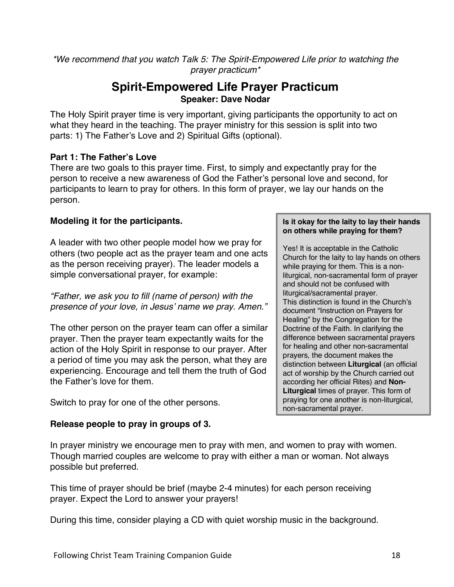*\*We recommend that you watch Talk 5: The Spirit-Empowered Life prior to watching the prayer practicum\**

# **Spirit-Empowered Life Prayer Practicum Speaker: Dave Nodar**

The Holy Spirit prayer time is very important, giving participants the opportunity to act on what they heard in the teaching. The prayer ministry for this session is split into two parts: 1) The Father's Love and 2) Spiritual Gifts (optional).

### **Part 1: The Father's Love**

There are two goals to this prayer time. First, to simply and expectantly pray for the person to receive a new awareness of God the Father's personal love and second, for participants to learn to pray for others. In this form of prayer, we lay our hands on the person.

# **Modeling it for the participants.**

A leader with two other people model how we pray for others (two people act as the prayer team and one acts as the person receiving prayer). The leader models a simple conversational prayer, for example:

*"Father, we ask you to fill (name of person) with the presence of your love, in Jesus' name we pray. Amen."*

The other person on the prayer team can offer a similar prayer. Then the prayer team expectantly waits for the action of the Holy Spirit in response to our prayer. After a period of time you may ask the person, what they are experiencing. Encourage and tell them the truth of God the Father's love for them.

Switch to pray for one of the other persons.

# **Release people to pray in groups of 3.**

#### **Is it okay for the laity to lay their hands on others while praying for them?**

Yes! It is acceptable in the Catholic Church for the laity to lay hands on others while praying for them. This is a nonliturgical, non-sacramental form of prayer and should not be confused with liturgical/sacramental prayer. This distinction is found in the Church's document "Instruction on Prayers for Healing" by the Congregation for the Doctrine of the Faith. In clarifying the difference between sacramental prayers for healing and other non-sacramental prayers, the document makes the distinction between **Liturgical** (an official act of worship by the Church carried out according her official Rites) and **Non-Liturgical** times of prayer. This form of praying for one another is non-liturgical, non-sacramental prayer.

In prayer ministry we encourage men to pray with men, and women to pray with women. Though married couples are welcome to pray with either a man or woman. Not always possible but preferred.

This time of prayer should be brief (maybe 2-4 minutes) for each person receiving prayer. Expect the Lord to answer your prayers!

During this time, consider playing a CD with quiet worship music in the background.